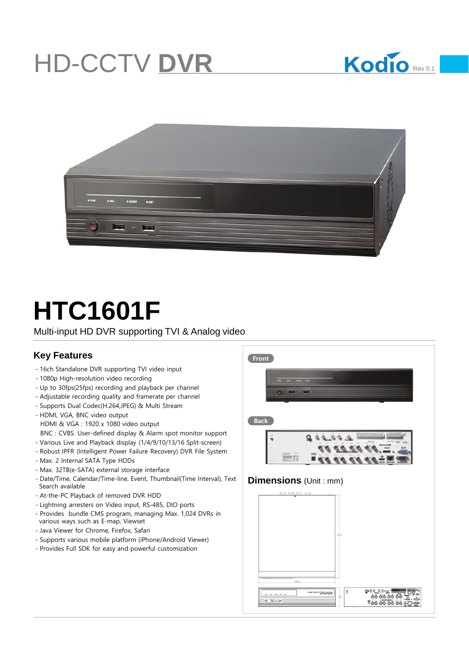## HD-CCTV **DVR**





# **HTC1601F**

Multi-input HD DVR supporting TVI & Analog video

### **Key Features FROM <b>FROM FROM FROM FROM**

- -16ch Standalone DVR supporting TVI video input
- -1080p High-resolution video recording
- -Up to 30fps(25fps) recording and playback per channel
- -Adjustable recording quality and framerate per channel
- -Supports Dual Codec(H.264,JPEG) & Multi Stream

-HDMI, VGA, BNC video output HDMI & VGA : 1920 x 1080 video output BNC : CVBS. User-defined display & Alarm spot monitor support -Various Live and Playback display (1/4/9/10/13/16 Split-screen)

- -Robust IPFR (Intelligent Power Failure Recovery) DVR File System
- Max. 2 Internal SATA Type HDDs
- -Max. 32TB(e-SATA) external storage interface
- -Date/Time, Calendar/Time-line, Event, Thumbnail(Time Interval), Text Search available
- -At-the-PC Playback of removed DVR HDD
- -Lightning arresters on Video input, RS-485, DIO ports
- -Provides bundle CMS program, managing Max. 1,024 DVRs in various ways such as E-map, Viewset
- -Java Viewer for Chrome, Firefox, Safari
- -Supports various mobile platform (iPhone/Android Viewer)
- -Provides Full SDK for easy and powerful customization



#### **Dimensions** (Unit : mm)